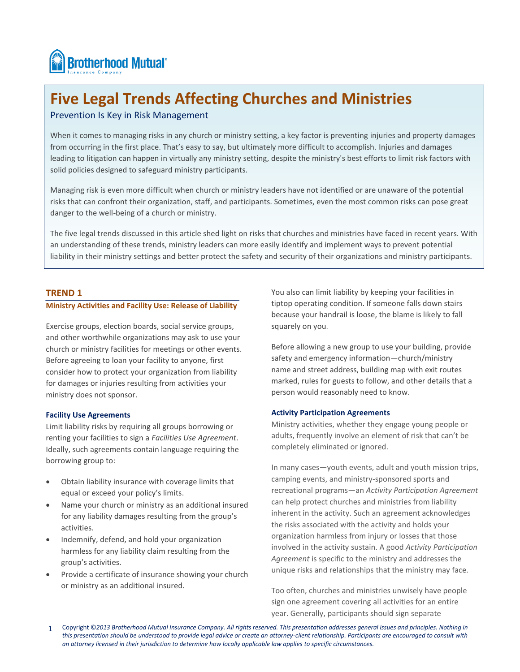

# **Five Legal Trends Affecting Churches and Ministries**

# Prevention Is Key in Risk Management

When it comes to managing risks in any church or ministry setting, a key factor is preventing injuries and property damages from occurring in the first place. That's easy to say, but ultimately more difficult to accomplish. Injuries and damages leading to litigation can happen in virtually any ministry setting, despite the ministry's best efforts to limit risk factors with solid policies designed to safeguard ministry participants.

Managing risk is even more difficult when church or ministry leaders have not identified or are unaware of the potential risks that can confront their organization, staff, and participants. Sometimes, even the most common risks can pose great danger to the well-being of a church or ministry.

The five legal trends discussed in this article shed light on risks that churches and ministries have faced in recent years. With an understanding of these trends, ministry leaders can more easily identify and implement ways to prevent potential liability in their ministry settings and better protect the safety and security of their organizations and ministry participants.

# **TREND 1**

 $\overline{a}$ 

# **Ministry Activities and Facility Use: Release of Liability**

Exercise groups, election boards, social service groups, and other worthwhile organizations may ask to use your church or ministry facilities for meetings or other events. Before agreeing to loan your facility to anyone, first consider how to protect your organization from liability for damages or injuries resulting from activities your ministry does not sponsor.

# **Facility Use Agreements**

Limit liability risks by requiring all groups borrowing or renting your facilities to sign a *Facilities Use Agreement*. Ideally, such agreements contain language requiring the borrowing group to:

- Obtain liability insurance with coverage limits that equal or exceed your policy's limits.
- Name your church or ministry as an additional insured for any liability damages resulting from the group's activities.
- Indemnify, defend, and hold your organization harmless for any liability claim resulting from the group's activities.
- Provide a certificate of insurance showing your church or ministry as an additional insured.

You also can limit liability by keeping your facilities in tiptop operating condition. If someone falls down stairs because your handrail is loose, the blame is likely to fall squarely on you.

Before allowing a new group to use your building, provide safety and emergency information—church/ministry name and street address, building map with exit routes marked, rules for guests to follow, and other details that a person would reasonably need to know.

# **Activity Participation Agreements**

Ministry activities, whether they engage young people or adults, frequently involve an element of risk that can't be completely eliminated or ignored.

In many cases—youth events, adult and youth mission trips, camping events, and ministry-sponsored sports and recreational programs—an *Activity Participation Agreement* can help protect churches and ministries from liability inherent in the activity. Such an agreement acknowledges the risks associated with the activity and holds your organization harmless from injury or losses that those involved in the activity sustain. A good *Activity Participation Agreement* is specific to the ministry and addresses the unique risks and relationships that the ministry may face.

Too often, churches and ministries unwisely have people sign one agreement covering all activities for an entire year. Generally, participants should sign separate

<sup>1</sup> Copyright ©*2013 Brotherhood Mutual Insurance Company. All rights reserved. This presentation addresses general issues and principles. Nothing in this presentation should be understood to provide legal advice or create an attorney-client relationship. Participants are encouraged to consult with an attorney licensed in their jurisdiction to determine how locally applicable law applies to specific circumstances.*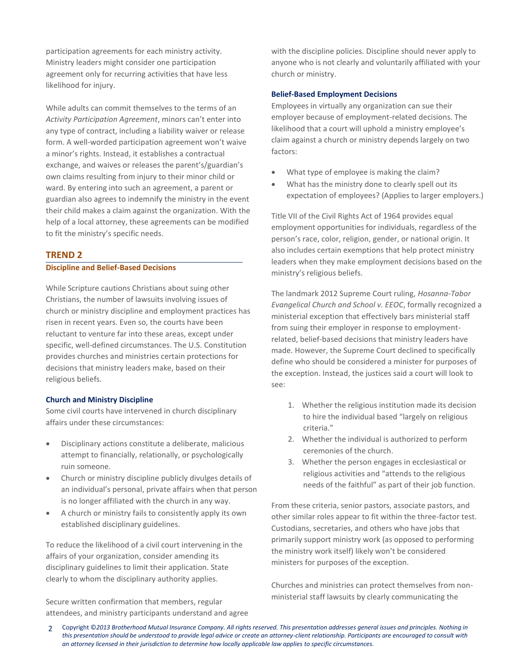participation agreements for each ministry activity. Ministry leaders might consider one participation agreement only for recurring activities that have less likelihood for injury.

While adults can commit themselves to the terms of an *Activity Participation Agreement*, minors can't enter into any type of contract, including a liability waiver or release form. A well-worded participation agreement won't waive a minor's rights. Instead, it establishes a contractual exchange, and waives or releases the parent's/guardian's own claims resulting from injury to their minor child or ward. By entering into such an agreement, a parent or guardian also agrees to indemnify the ministry in the event their child makes a claim against the organization. With the help of a local attorney, these agreements can be modified to fit the ministry's specific needs.

# **TREND 2**

# **Discipline and Belief-Based Decisions**

While Scripture cautions Christians about suing other Christians, the number of lawsuits involving issues of church or ministry discipline and employment practices has risen in recent years. Even so, the courts have been reluctant to venture far into these areas, except under specific, well-defined circumstances. The U.S. Constitution provides churches and ministries certain protections for decisions that ministry leaders make, based on their religious beliefs.

## **Church and Ministry Discipline**

Some civil courts have intervened in church disciplinary affairs under these circumstances:

- Disciplinary actions constitute a deliberate, malicious attempt to financially, relationally, or psychologically ruin someone.
- Church or ministry discipline publicly divulges details of an individual's personal, private affairs when that person is no longer affiliated with the church in any way.
- A church or ministry fails to consistently apply its own established disciplinary guidelines.

To reduce the likelihood of a civil court intervening in the affairs of your organization, consider amending its disciplinary guidelines to limit their application. State clearly to whom the disciplinary authority applies.

Secure written confirmation that members, regular attendees, and ministry participants understand and agree with the discipline policies. Discipline should never apply to anyone who is not clearly and voluntarily affiliated with your church or ministry.

### **Belief-Based Employment Decisions**

Employees in virtually any organization can sue their employer because of employment-related decisions. The likelihood that a court will uphold a ministry employee's claim against a church or ministry depends largely on two factors:

- What type of employee is making the claim?
- What has the ministry done to clearly spell out its expectation of employees? (Applies to larger employers.)

Title VII of the Civil Rights Act of 1964 provides equal employment opportunities for individuals, regardless of the person's race, color, religion, gender, or national origin. It also includes certain exemptions that help protect ministry leaders when they make employment decisions based on the ministry's religious beliefs.

The landmark 2012 Supreme Court ruling, *Hosanna-Tabor Evangelical Church and School v. EEOC*, formally recognized a ministerial exception that effectively bars ministerial staff from suing their employer in response to employmentrelated, belief-based decisions that ministry leaders have made. However, the Supreme Court declined to specifically define who should be considered a minister for purposes of the exception. Instead, the justices said a court will look to see:

- 1. Whether the religious institution made its decision to hire the individual based "largely on religious criteria."
- 2. Whether the individual is authorized to perform ceremonies of the church.
- 3. Whether the person engages in ecclesiastical or religious activities and "attends to the religious needs of the faithful" as part of their job function.

From these criteria, senior pastors, associate pastors, and other similar roles appear to fit within the three-factor test. Custodians, secretaries, and others who have jobs that primarily support ministry work (as opposed to performing the ministry work itself) likely won't be considered ministers for purposes of the exception.

Churches and ministries can protect themselves from nonministerial staff lawsuits by clearly communicating the

<sup>2</sup> Copyright ©*2013 Brotherhood Mutual Insurance Company. All rights reserved. This presentation addresses general issues and principles. Nothing in this presentation should be understood to provide legal advice or create an attorney-client relationship. Participants are encouraged to consult with an attorney licensed in their jurisdiction to determine how locally applicable law applies to specific circumstances.*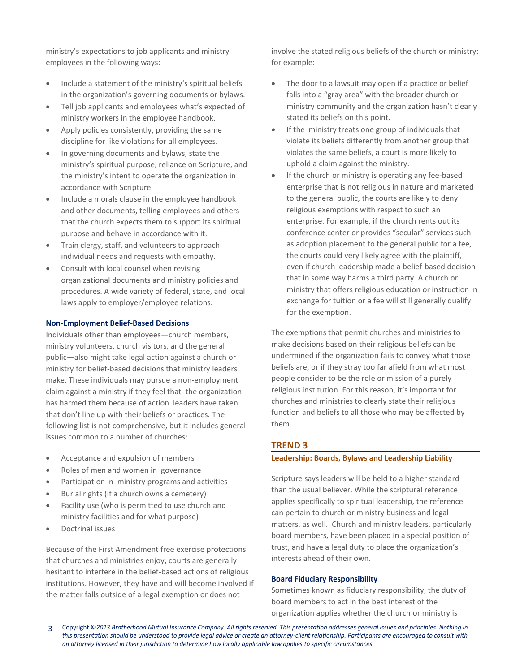ministry's expectations to job applicants and ministry employees in the following ways:

- Include a statement of the ministry's spiritual beliefs in the organization's governing documents or bylaws.
- Tell job applicants and employees what's expected of ministry workers in the employee handbook.
- Apply policies consistently, providing the same discipline for like violations for all employees.
- In governing documents and bylaws, state the ministry's spiritual purpose, reliance on Scripture, and the ministry's intent to operate the organization in accordance with Scripture.
- Include a morals clause in the employee handbook and other documents, telling employees and others that the church expects them to support its spiritual purpose and behave in accordance with it.
- Train clergy, staff, and volunteers to approach individual needs and requests with empathy.
- Consult with local counsel when revising organizational documents and ministry policies and procedures. A wide variety of federal, state, and local laws apply to employer/employee relations.

# **Non-Employment Belief-Based Decisions**

Individuals other than employees—church members, ministry volunteers, church visitors, and the general public—also might take legal action against a church or ministry for belief-based decisions that ministry leaders make. These individuals may pursue a non-employment claim against a ministry if they feel that the organization has harmed them because of action leaders have taken that don't line up with their beliefs or practices. The following list is not comprehensive, but it includes general issues common to a number of churches:

- Acceptance and expulsion of members
- Roles of men and women in governance
- Participation in ministry programs and activities
- Burial rights (if a church owns a cemetery)
- Facility use (who is permitted to use church and ministry facilities and for what purpose)
- Doctrinal issues

Because of the First Amendment free exercise protections that churches and ministries enjoy, courts are generally hesitant to interfere in the belief-based actions of religious institutions. However, they have and will become involved if the matter falls outside of a legal exemption or does not

involve the stated religious beliefs of the church or ministry; for example:

- The door to a lawsuit may open if a practice or belief falls into a "gray area" with the broader church or ministry community and the organization hasn't clearly stated its beliefs on this point.
- If the ministry treats one group of individuals that violate its beliefs differently from another group that violates the same beliefs, a court is more likely to uphold a claim against the ministry.
- If the church or ministry is operating any fee-based enterprise that is not religious in nature and marketed to the general public, the courts are likely to deny religious exemptions with respect to such an enterprise. For example, if the church rents out its conference center or provides "secular" services such as adoption placement to the general public for a fee, the courts could very likely agree with the plaintiff, even if church leadership made a belief-based decision that in some way harms a third party. A church or ministry that offers religious education or instruction in exchange for tuition or a fee will still generally qualify for the exemption.

The exemptions that permit churches and ministries to make decisions based on their religious beliefs can be undermined if the organization fails to convey what those beliefs are, or if they stray too far afield from what most people consider to be the role or mission of a purely religious institution. For this reason, it's important for churches and ministries to clearly state their religious function and beliefs to all those who may be affected by them.

# **TREND 3**

# **Leadership: Boards, Bylaws and Leadership Liability**

Scripture says leaders will be held to a higher standard than the usual believer. While the scriptural reference applies specifically to spiritual leadership, the reference can pertain to church or ministry business and legal matters, as well. Church and ministry leaders, particularly board members, have been placed in a special position of trust, and have a legal duty to place the organization's interests ahead of their own.

# **Board Fiduciary Responsibility**

Sometimes known as fiduciary responsibility, the duty of board members to act in the best interest of the organization applies whether the church or ministry is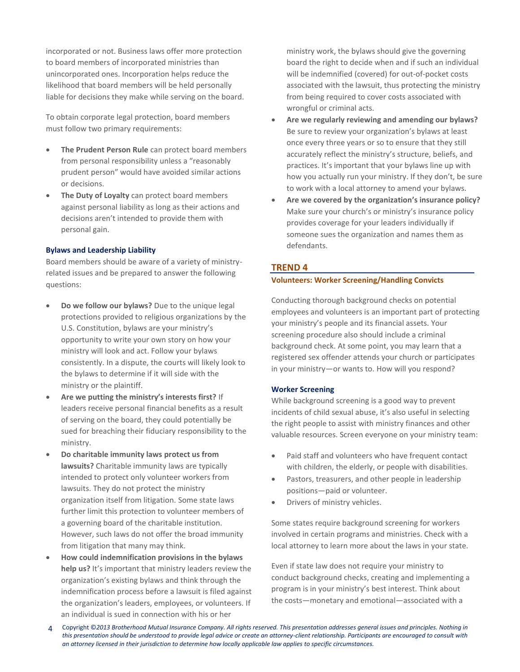incorporated or not. Business laws offer more protection to board members of incorporated ministries than unincorporated ones. Incorporation helps reduce the likelihood that board members will be held personally liable for decisions they make while serving on the board.

To obtain corporate legal protection, board members must follow two primary requirements:

- **The Prudent Person Rule** can protect board members from personal responsibility unless a "reasonably prudent person" would have avoided similar actions or decisions.
- **The Duty of Loyalty** can protect board members against personal liability as long as their actions and decisions aren't intended to provide them with personal gain.

### **Bylaws and Leadership Liability**

Board members should be aware of a variety of ministryrelated issues and be prepared to answer the following questions:

- **Do we follow our bylaws?** Due to the unique legal protections provided to religious organizations by the U.S. Constitution, bylaws are your ministry's opportunity to write your own story on how your ministry will look and act. Follow your bylaws consistently. In a dispute, the courts will likely look to the bylaws to determine if it will side with the ministry or the plaintiff.
- **Are we putting the ministry's interests first?** If leaders receive personal financial benefits as a result of serving on the board, they could potentially be sued for breaching their fiduciary responsibility to the ministry.
- **Do charitable immunity laws protect us from lawsuits?** Charitable immunity laws are typically intended to protect only volunteer workers from lawsuits. They do not protect the ministry organization itself from litigation. Some state laws further limit this protection to volunteer members of a governing board of the charitable institution. However, such laws do not offer the broad immunity from litigation that many may think.
- **How could indemnification provisions in the bylaws help us?** It's important that ministry leaders review the organization's existing bylaws and think through the indemnification process before a lawsuit is filed against the organization's leaders, employees, or volunteers. If an individual is sued in connection with his or her

ministry work, the bylaws should give the governing board the right to decide when and if such an individual will be indemnified (covered) for out-of-pocket costs associated with the lawsuit, thus protecting the ministry from being required to cover costs associated with wrongful or criminal acts.

- **Are we regularly reviewing and amending our bylaws?** Be sure to review your organization's bylaws at least once every three years or so to ensure that they still accurately reflect the ministry's structure, beliefs, and practices. It's important that your bylaws line up with how you actually run your ministry. If they don't, be sure to work with a local attorney to amend your bylaws.
- **Are we covered by the organization's insurance policy?** Make sure your church's or ministry's insurance policy provides coverage for your leaders individually if someone sues the organization and names them as defendants.

# **TREND 4**

# **Volunteers: Worker Screening/Handling Convicts**

Conducting thorough background checks on potential employees and volunteers is an important part of protecting your ministry's people and its financial assets. Your screening procedure also should include a criminal background check. At some point, you may learn that a registered sex offender attends your church or participates in your ministry—or wants to. How will you respond?

# **Worker Screening**

While background screening is a good way to prevent incidents of child sexual abuse, it's also useful in selecting the right people to assist with ministry finances and other valuable resources. Screen everyone on your ministry team:

- Paid staff and volunteers who have frequent contact with children, the elderly, or people with disabilities.
- Pastors, treasurers, and other people in leadership positions—paid or volunteer.
- Drivers of ministry vehicles.

Some states require background screening for workers involved in certain programs and ministries. Check with a local attorney to learn more about the laws in your state.

Even if state law does not require your ministry to conduct background checks, creating and implementing a program is in your ministry's best interest. Think about the costs—monetary and emotional—associated with a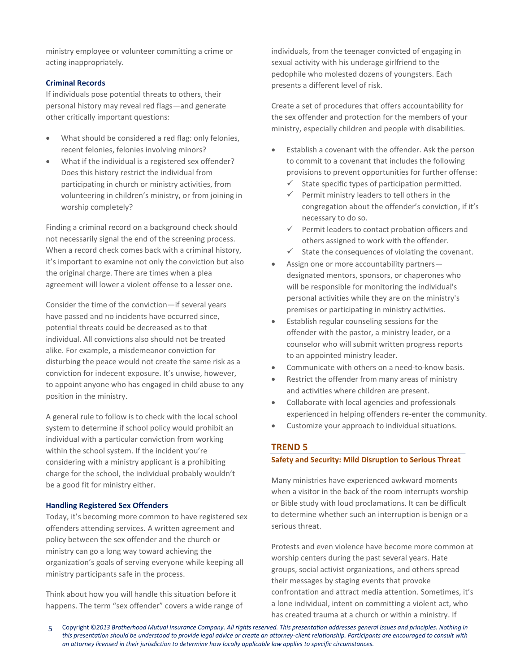ministry employee or volunteer committing a crime or acting inappropriately.

# **Criminal Records**

If individuals pose potential threats to others, their personal history may reveal red flags—and generate other critically important questions:

- What should be considered a red flag: only felonies, recent felonies, felonies involving minors?
- What if the individual is a registered sex offender? Does this history restrict the individual from participating in church or ministry activities, from volunteering in children's ministry, or from joining in worship completely?

Finding a criminal record on a background check should not necessarily signal the end of the screening process. When a record check comes back with a criminal history, it's important to examine not only the conviction but also the original charge. There are times when a plea agreement will lower a violent offense to a lesser one.

Consider the time of the conviction—if several years have passed and no incidents have occurred since, potential threats could be decreased as to that individual. All convictions also should not be treated alike. For example, a misdemeanor conviction for disturbing the peace would not create the same risk as a conviction for indecent exposure. It's unwise, however, to appoint anyone who has engaged in child abuse to any position in the ministry.

A general rule to follow is to check with the local school system to determine if school policy would prohibit an individual with a particular conviction from working within the school system. If the incident you're considering with a ministry applicant is a prohibiting charge for the school, the individual probably wouldn't be a good fit for ministry either.

## **Handling Registered Sex Offenders**

Today, it's becoming more common to have registered sex offenders attending services. A written agreement and policy between the sex offender and the church or ministry can go a long way toward achieving the organization's goals of serving everyone while keeping all ministry participants safe in the process.

Think about how you will handle this situation before it happens. The term "sex offender" covers a wide range of individuals, from the teenager convicted of engaging in sexual activity with his underage girlfriend to the pedophile who molested dozens of youngsters. Each presents a different level of risk.

Create a set of procedures that offers accountability for the sex offender and protection for the members of your ministry, especially children and people with disabilities.

- Establish a covenant with the offender. Ask the person to commit to a covenant that includes the following provisions to prevent opportunities for further offense:
	- $\checkmark$  State specific types of participation permitted.
	- Permit ministry leaders to tell others in the congregation about the offender's conviction, if it's necessary to do so.
	- $\checkmark$  Permit leaders to contact probation officers and others assigned to work with the offender.
	- $\checkmark$  State the consequences of violating the covenant.
- Assign one or more accountability partners designated mentors, sponsors, or chaperones who will be responsible for monitoring the individual's personal activities while they are on the ministry's premises or participating in ministry activities.
- Establish regular counseling sessions for the offender with the pastor, a ministry leader, or a counselor who will submit written progress reports to an appointed ministry leader.
- Communicate with others on a need-to-know basis.
- Restrict the offender from many areas of ministry and activities where children are present.
- Collaborate with local agencies and professionals experienced in helping offenders re-enter the community.
- Customize your approach to individual situations.

## **TREND 5**

# **Safety and Security: Mild Disruption to Serious Threat**

Many ministries have experienced awkward moments when a visitor in the back of the room interrupts worship or Bible study with loud proclamations. It can be difficult to determine whether such an interruption is benign or a serious threat.

Protests and even violence have become more common at worship centers during the past several years. Hate groups, social activist organizations, and others spread their messages by staging events that provoke confrontation and attract media attention. Sometimes, it's a lone individual, intent on committing a violent act, who has created trauma at a church or within a ministry. If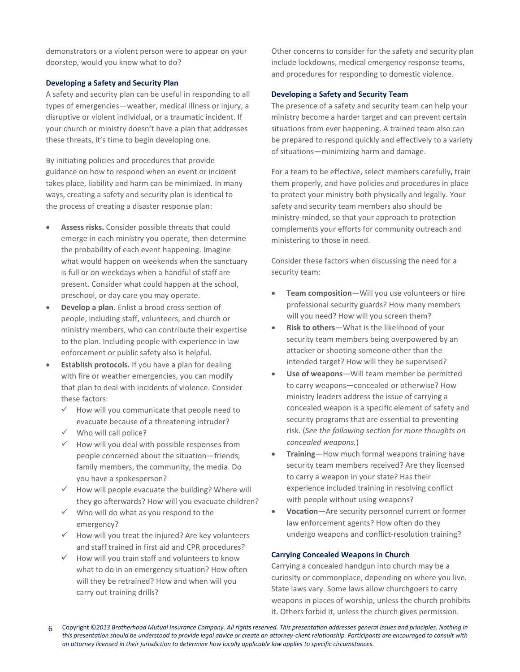demonstrators or a violent person were to appear on your doorstep, would you know what to do?

# **Developing a Safety and Security Plan**

A safety and security plan can be useful in responding to all types of emergencies—weather, medical illness or injury, a disruptive or violent individual, or a traumatic incident. If your church or ministry doesn't have a plan that addresses these threats, it's time to begin developing one.

By initiating policies and procedures that provide guidance on how to respond when an event or incident takes place, liability and harm can be minimized. In many ways, creating a safety and security plan is identical to the process of creating a disaster response plan:

- **Assess risks.** Consider possible threats that could emerge in each ministry you operate, then determine the probability of each event happening. Imagine what would happen on weekends when the sanctuary is full or on weekdays when a handful of staff are present. Consider what could happen at the school, preschool, or day care you may operate.
- **Develop a plan.** Enlist a broad cross-section of people, including staff, volunteers, and church or ministry members, who can contribute their expertise to the plan. Including people with experience in law enforcement or public safety also is helpful.
- **Establish protocols.** If you have a plan for dealing with fire or weather emergencies, you can modify that plan to deal with incidents of violence. Consider these factors:
	- How will you communicate that people need to evacuate because of a threatening intruder?
	- $\checkmark$  Who will call police?
	- $\checkmark$  How will you deal with possible responses from people concerned about the situation—friends, family members, the community, the media. Do you have a spokesperson?
	- $\checkmark$  How will people evacuate the building? Where will they go afterwards? How will you evacuate children?
	- $\checkmark$  Who will do what as you respond to the emergency?
	- $\checkmark$  How will you treat the injured? Are key volunteers and staff trained in first aid and CPR procedures?
	- $\checkmark$  How will you train staff and volunteers to know what to do in an emergency situation? How often will they be retrained? How and when will you carry out training drills?

Other concerns to consider for the safety and security plan include lockdowns, medical emergency response teams, and procedures for responding to domestic violence.

# **Developing a Safety and Security Team**

The presence of a safety and security team can help your ministry become a harder target and can prevent certain situations from ever happening. A trained team also can be prepared to respond quickly and effectively to a variety of situations—minimizing harm and damage.

For a team to be effective, select members carefully, train them properly, and have policies and procedures in place to protect your ministry both physically and legally. Your safety and security team members also should be ministry-minded, so that your approach to protection complements your efforts for community outreach and ministering to those in need.

Consider these factors when discussing the need for a security team:

- **Team composition**—Will you use volunteers or hire professional security guards? How many members will you need? How will you screen them?
- **Risk to others**—What is the likelihood of your security team members being overpowered by an attacker or shooting someone other than the intended target? How will they be supervised?
- **Use of weapons**—Will team member be permitted to carry weapons—concealed or otherwise? How ministry leaders address the issue of carrying a concealed weapon is a specific element of safety and security programs that are essential to preventing risk. (*See the following section for more thoughts on concealed weapons.*)
- **Training**—How much formal weapons training have security team members received? Are they licensed to carry a weapon in your state? Has their experience included training in resolving conflict with people without using weapons?
- **Vocation**—Are security personnel current or former law enforcement agents? How often do they undergo weapons and conflict-resolution training?

# **Carrying Concealed Weapons in Church**

Carrying a concealed handgun into church may be a curiosity or commonplace, depending on where you live. State laws vary. Some laws allow churchgoers to carry weapons in places of worship, unless the church prohibits it. Others forbid it, unless the church gives permission.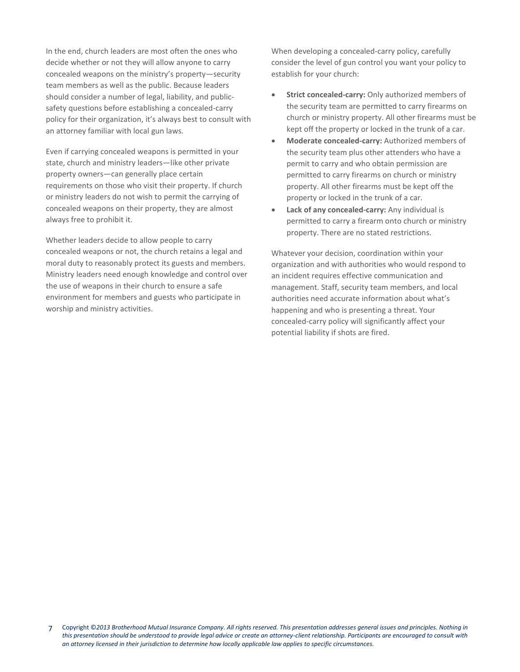In the end, church leaders are most often the ones who decide whether or not they will allow anyone to carry concealed weapons on the ministry's property—security team members as well as the public. Because leaders should consider a number of legal, liability, and publicsafety questions before establishing a concealed-carry policy for their organization, it's always best to consult with an attorney familiar with local gun laws.

Even if carrying concealed weapons is permitted in your state, church and ministry leaders—like other private property owners—can generally place certain requirements on those who visit their property. If church or ministry leaders do not wish to permit the carrying of concealed weapons on their property, they are almost always free to prohibit it.

Whether leaders decide to allow people to carry concealed weapons or not, the church retains a legal and moral duty to reasonably protect its guests and members. Ministry leaders need enough knowledge and control over the use of weapons in their church to ensure a safe environment for members and guests who participate in worship and ministry activities.

When developing a concealed-carry policy, carefully consider the level of gun control you want your policy to establish for your church:

- **Strict concealed-carry:** Only authorized members of the security team are permitted to carry firearms on church or ministry property. All other firearms must be kept off the property or locked in the trunk of a car.
- **Moderate concealed-carry:** Authorized members of the security team plus other attenders who have a permit to carry and who obtain permission are permitted to carry firearms on church or ministry property. All other firearms must be kept off the property or locked in the trunk of a car.
- **Lack of any concealed-carry:** Any individual is permitted to carry a firearm onto church or ministry property. There are no stated restrictions.

Whatever your decision, coordination within your organization and with authorities who would respond to an incident requires effective communication and management. Staff, security team members, and local authorities need accurate information about what's happening and who is presenting a threat. Your concealed-carry policy will significantly affect your potential liability if shots are fired.

<sup>7</sup> Copyright ©*2013 Brotherhood Mutual Insurance Company. All rights reserved. This presentation addresses general issues and principles. Nothing in this presentation should be understood to provide legal advice or create an attorney-client relationship. Participants are encouraged to consult with an attorney licensed in their jurisdiction to determine how locally applicable law applies to specific circumstances.*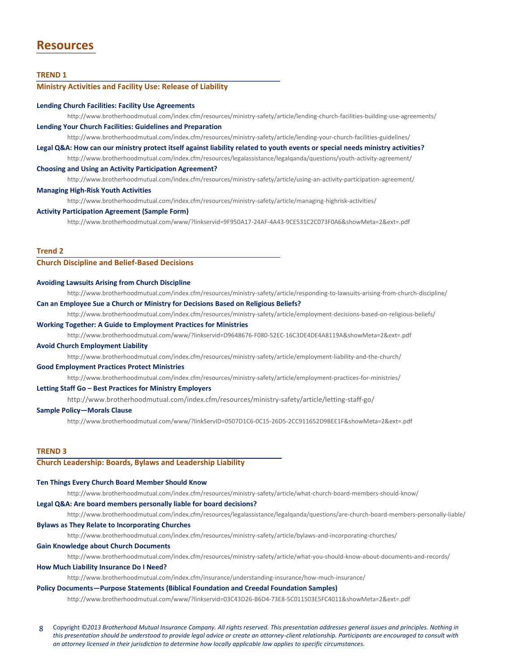# **Resources**

### **TREND 1**

### **Ministry Activities and Facility Use: Release of Liability**

#### **Lending Church Facilities: Facility Use Agreements**

<http://www.brotherhoodmutual.com/index.cfm/resources/ministry-safety/article/lending-church-facilities-building-use-agreements/> **Lending Your Church Facilities: Guidelines and Preparation**

#### <http://www.brotherhoodmutual.com/index.cfm/resources/ministry-safety/article/lending-your-church-facilities-guidelines/>

#### **Legal Q&A: How can our ministry protect itself against liability related to youth events or special needs ministry activities?**

<http://www.brotherhoodmutual.com/index.cfm/resources/legalassistance/legalqanda/questions/youth-activity-agreement/> **Choosing and Using an Activity Participation Agreement?**

<http://www.brotherhoodmutual.com/index.cfm/resources/ministry-safety/article/using-an-activity-participation-agreement/>

### **Managing High-Risk Youth Activities**

<http://www.brotherhoodmutual.com/index.cfm/resources/ministry-safety/article/managing-highrisk-activities/>

### **Activity Participation Agreement (Sample Form)**

http://www.brotherhoodmutual.com/www/?linkservid=9F950A17-24AF-4A43-9CE531C2C073F0A6&showMeta=2&ext=.pdf

### **Trend 2**

### **Church Discipline and Belief-Based Decisions**

#### **Avoiding Lawsuits Arising from Church Discipline**

<http://www.brotherhoodmutual.com/index.cfm/resources/ministry-safety/article/responding-to-lawsuits-arising-from-church-discipline/>

**Can an Employee Sue a Church or Ministry for Decisions Based on Religious Beliefs?**

<http://www.brotherhoodmutual.com/index.cfm/resources/ministry-safety/article/employment-decisions-based-on-religious-beliefs/>

### **Working Together: A Guide to Employment Practices for Ministries**

<http://www.brotherhoodmutual.com/www/?linkservid=D9648676-F080-52EC-16C3DE4DE4A8119A&showMeta=2&ext=.pdf>

### **Avoid Church Employment Liability**

<http://www.brotherhoodmutual.com/index.cfm/resources/ministry-safety/article/employment-liability-and-the-church/>

#### **Good Employment Practices Protect Ministries**

<http://www.brotherhoodmutual.com/index.cfm/resources/ministry-safety/article/employment-practices-for-ministries/>

### **Letting Staff Go – Best Practices for Ministry Employers**

http://www.brotherhoodmutual.com/index.cfm/resources/ministry-safety/article/letting-staff-go/

#### **Sample Policy—Morals Clause**

http://www.brotherhoodmutual.com/www/?linkServID=0507D1C6-0C15-26D5-2CC911652D9BEE1F&showMeta=2&ext=.pdf

#### **TREND 3**

### **Church Leadership: Boards, Bylaws and Leadership Liability**

#### **Ten Things Every Church Board Member Should Know**

<http://www.brotherhoodmutual.com/index.cfm/resources/ministry-safety/article/what-church-board-members-should-know/>

#### **Legal Q&A: Are board members personally liable for board decisions?**

<http://www.brotherhoodmutual.com/index.cfm/resources/legalassistance/legalqanda/questions/are-church-board-members-personally-liable/>

### **Bylaws as They Relate to Incorporating Churches**

<http://www.brotherhoodmutual.com/index.cfm/resources/ministry-safety/article/bylaws-and-incorporating-churches/>

#### **Gain Knowledge about Church Documents**

<http://www.brotherhoodmutual.com/index.cfm/resources/ministry-safety/article/what-you-should-know-about-documents-and-records/>

#### **How Much Liability Insurance Do I Need?**

<http://www.brotherhoodmutual.com/index.cfm/insurance/understanding-insurance/how-much-insurance/>

### **Policy Documents—Purpose Statements (Biblical Foundation and Creedal Foundation Samples)**

http://www.brotherhoodmutual.com/www/?linkservid=03C43D26-B6D4-73E8-5C011503E5FC4011&showMeta=2&ext=.pdf